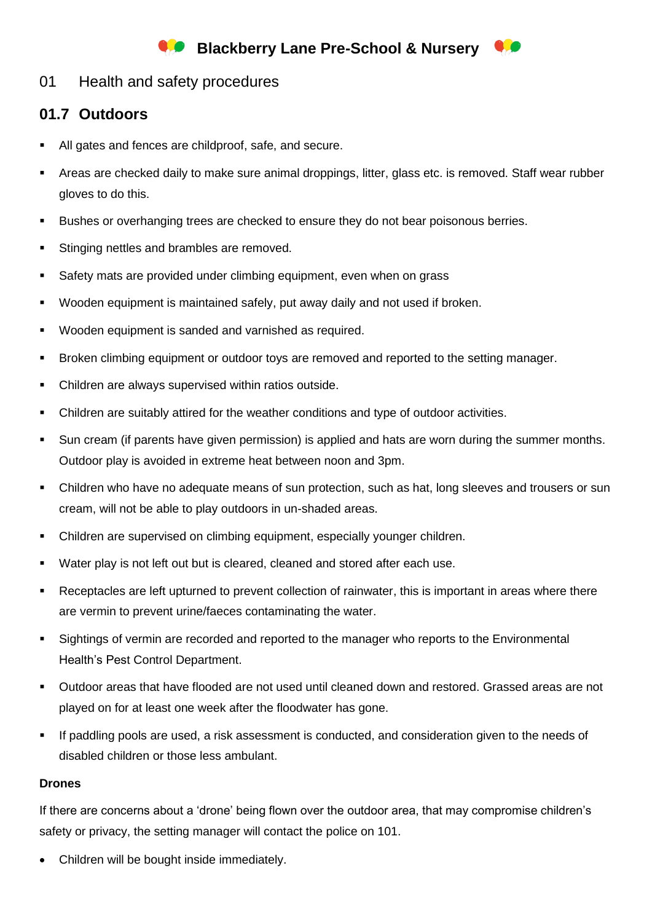## **Blackberry Lane Pre-School & Nursery**



## **01.7 Outdoors**

- All gates and fences are childproof, safe, and secure.
- Areas are checked daily to make sure animal droppings, litter, glass etc. is removed. Staff wear rubber gloves to do this.
- Bushes or overhanging trees are checked to ensure they do not bear poisonous berries.
- **EXECT:** Stinging nettles and brambles are removed.
- Safety mats are provided under climbing equipment, even when on grass
- Wooden equipment is maintained safely, put away daily and not used if broken.
- Wooden equipment is sanded and varnished as required.
- **EXECT:** Broken climbing equipment or outdoor toys are removed and reported to the setting manager.
- Children are always supervised within ratios outside.
- Children are suitably attired for the weather conditions and type of outdoor activities.
- Sun cream (if parents have given permission) is applied and hats are worn during the summer months. Outdoor play is avoided in extreme heat between noon and 3pm.
- Children who have no adequate means of sun protection, such as hat, long sleeves and trousers or sun cream, will not be able to play outdoors in un-shaded areas.
- Children are supervised on climbing equipment, especially younger children.
- Water play is not left out but is cleared, cleaned and stored after each use.
- Receptacles are left upturned to prevent collection of rainwater, this is important in areas where there are vermin to prevent urine/faeces contaminating the water.
- Sightings of vermin are recorded and reported to the manager who reports to the Environmental Health's Pest Control Department.
- Outdoor areas that have flooded are not used until cleaned down and restored. Grassed areas are not played on for at least one week after the floodwater has gone.
- If paddling pools are used, a risk assessment is conducted, and consideration given to the needs of disabled children or those less ambulant.

## **Drones**

If there are concerns about a 'drone' being flown over the outdoor area, that may compromise children's safety or privacy, the setting manager will contact the police on 101.

• Children will be bought inside immediately.